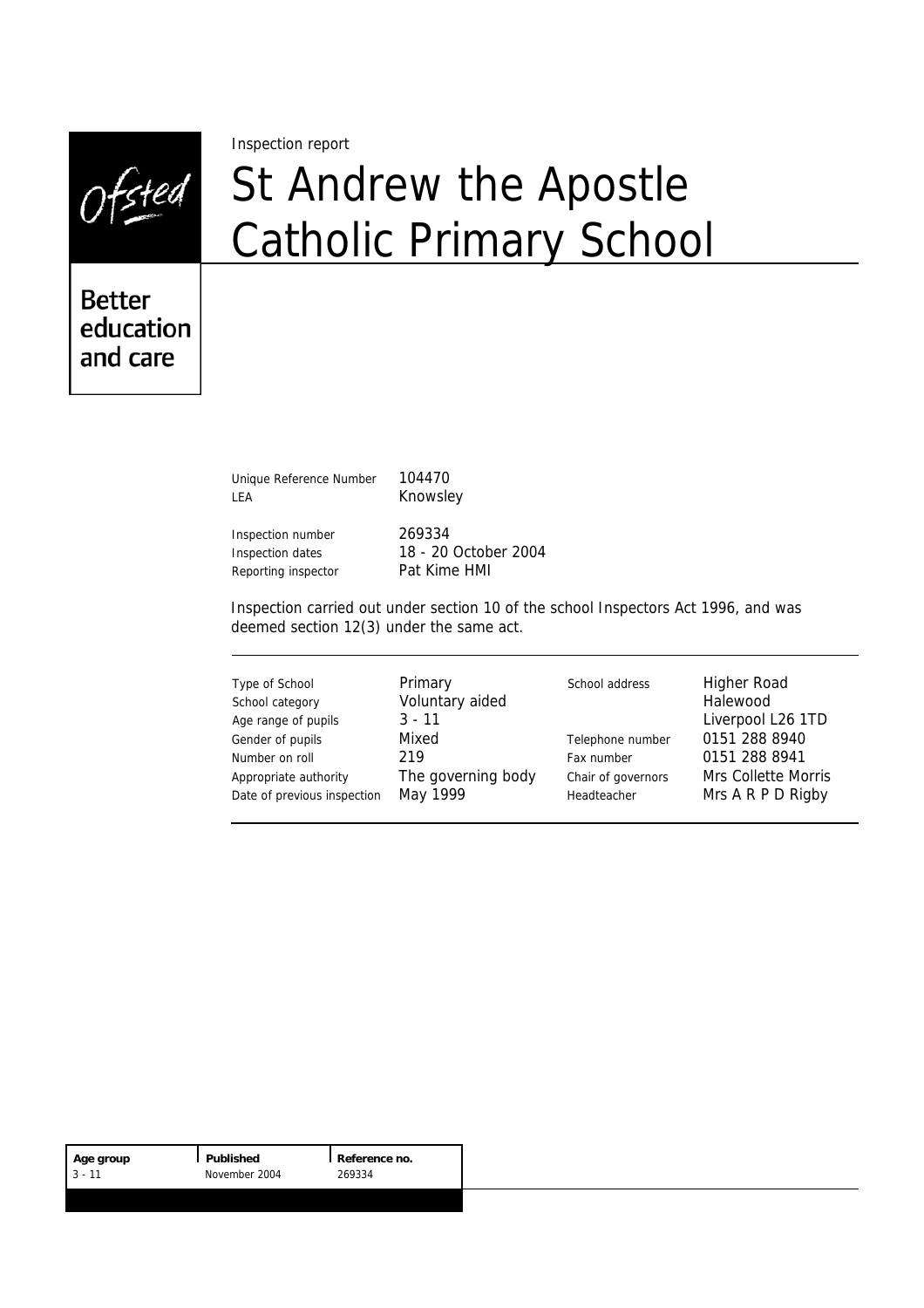Ofsted

Inspection report

# St Andrew the Apostle Catholic Primary School

**Better** education and care

> Unique Reference Number 104470 LEA Knowsley

Inspection number 269334 Reporting inspector Pat Kime HMI

Inspection dates 18 - 20 October 2004

Inspection carried out under section 10 of the school Inspectors Act 1996, and was deemed section 12(3) under the same act.

| Type of School<br>School category<br>Age range of pupils<br>Gender of pupils<br>Number on roll | Primary<br>Voluntary aided<br>$3 - 11$<br>Mixed<br>219 | School address<br>Telephone number<br>Fax number | <b>Higher Road</b><br>Halewood<br>Liverpool L26 1TD<br>0151 288 8940<br>0151 288 8941 |
|------------------------------------------------------------------------------------------------|--------------------------------------------------------|--------------------------------------------------|---------------------------------------------------------------------------------------|
| Appropriate authority                                                                          | The governing body                                     | Chair of governors                               | <b>Mrs Collette Morris</b>                                                            |
| Date of previous inspection                                                                    | May 1999                                               | Headteacher                                      | Mrs A R P D Rigby                                                                     |

| Age group | Published     | Reference no. |
|-----------|---------------|---------------|
| $3 - 11$  | November 2004 | 269334        |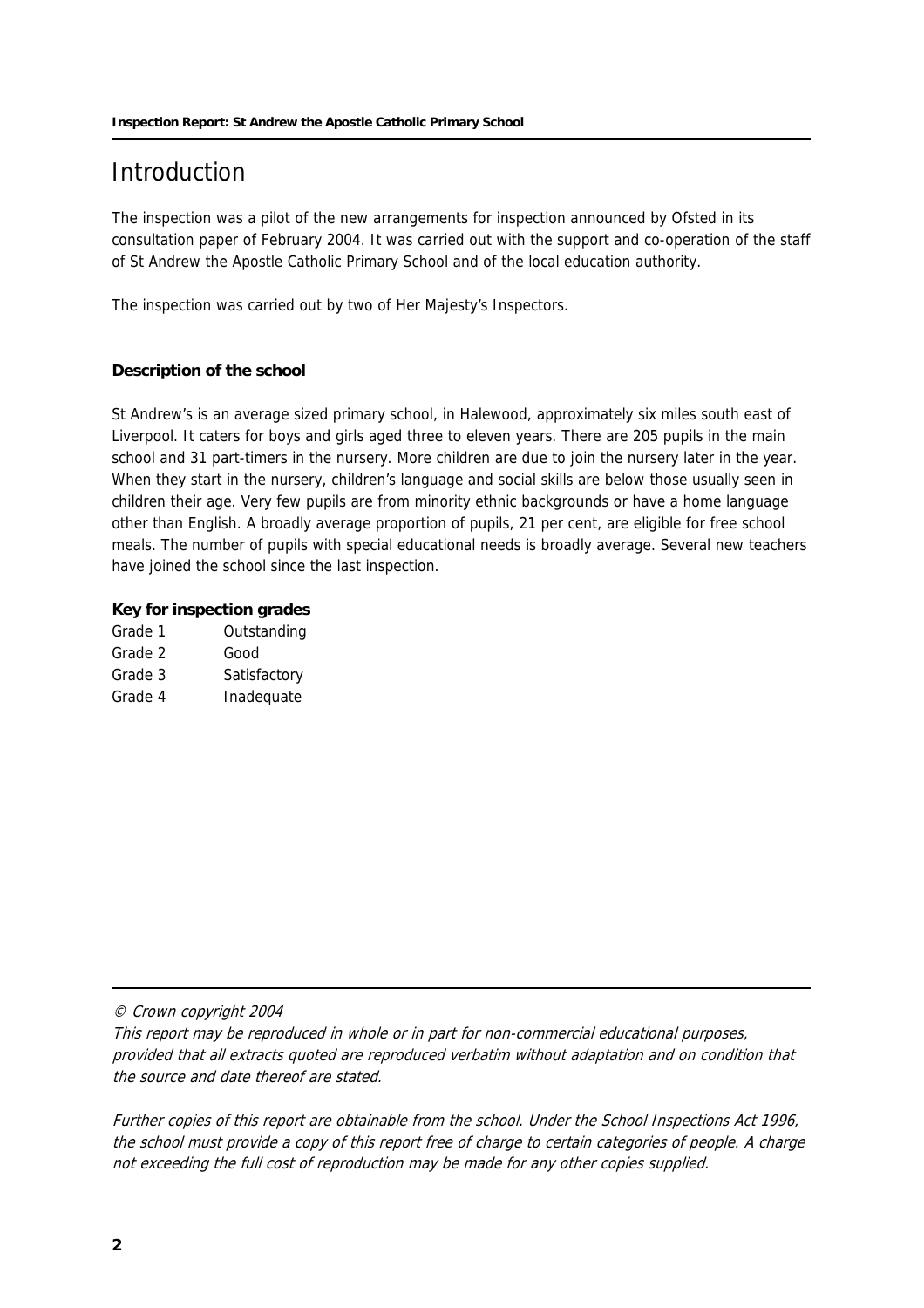## **Introduction**

The inspection was a pilot of the new arrangements for inspection announced by Ofsted in its consultation paper of February 2004. It was carried out with the support and co-operation of the staff of St Andrew the Apostle Catholic Primary School and of the local education authority.

The inspection was carried out by two of Her Majesty's Inspectors.

#### **Description of the school**

St Andrew's is an average sized primary school, in Halewood, approximately six miles south east of Liverpool. It caters for boys and girls aged three to eleven years. There are 205 pupils in the main school and 31 part-timers in the nursery. More children are due to join the nursery later in the year. When they start in the nursery, children's language and social skills are below those usually seen in children their age. Very few pupils are from minority ethnic backgrounds or have a home language other than English. A broadly average proportion of pupils, 21 per cent, are eligible for free school meals. The number of pupils with special educational needs is broadly average. Several new teachers have joined the school since the last inspection.

#### **Key for inspection grades**

| Grade 1 | Outstanding  |
|---------|--------------|
| Grade 2 | Good         |
| Grade 3 | Satisfactory |
| Grade 4 | Inadequate   |

© Crown copyright 2004

This report may be reproduced in whole or in part for non-commercial educational purposes, provided that all extracts quoted are reproduced verbatim without adaptation and on condition that the source and date thereof are stated.

Further copies of this report are obtainable from the school. Under the School Inspections Act 1996, the school must provide a copy of this report free of charge to certain categories of people. A charge not exceeding the full cost of reproduction may be made for any other copies supplied.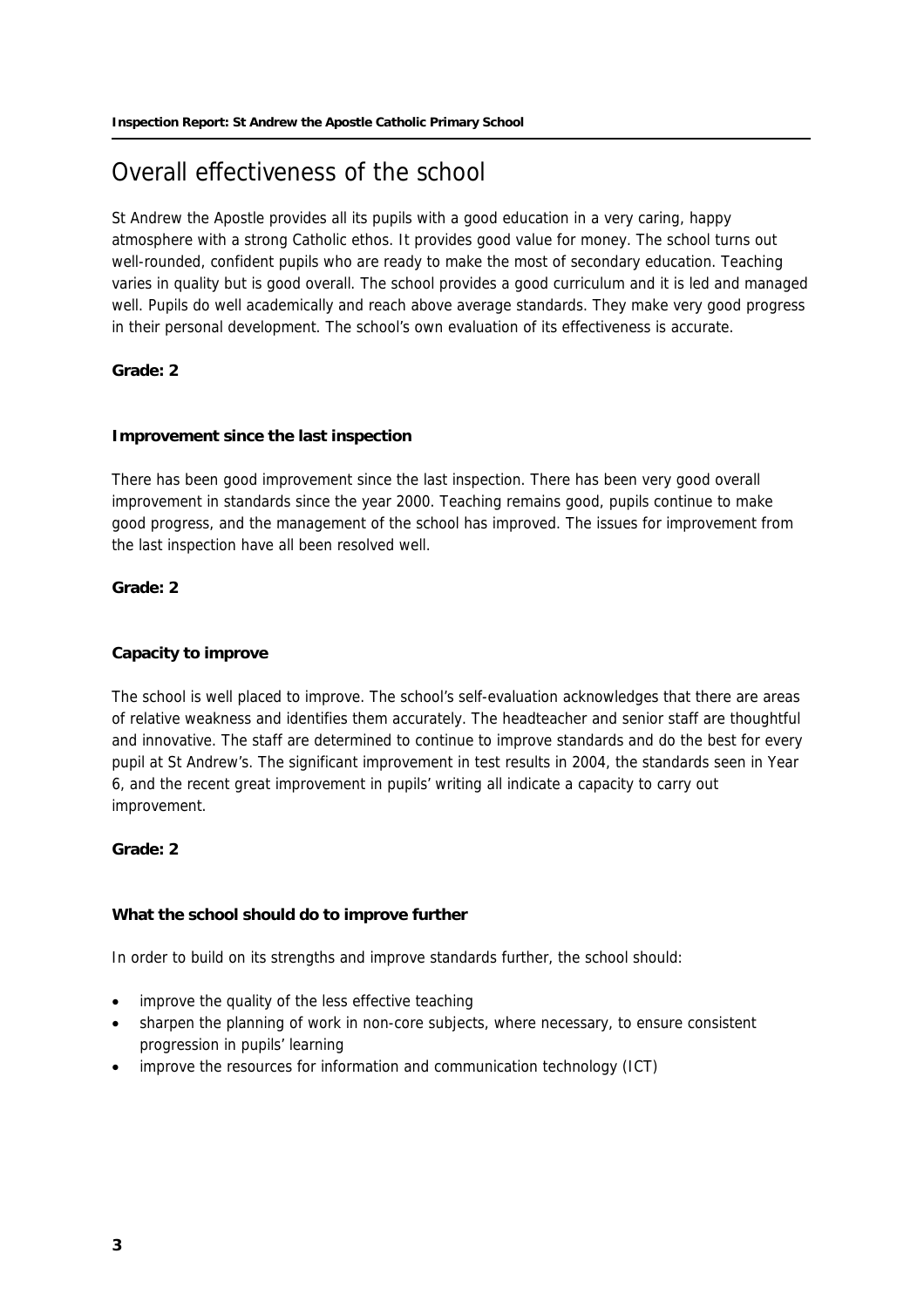# Overall effectiveness of the school

St Andrew the Apostle provides all its pupils with a good education in a very caring, happy atmosphere with a strong Catholic ethos. It provides good value for money. The school turns out well-rounded, confident pupils who are ready to make the most of secondary education. Teaching varies in quality but is good overall. The school provides a good curriculum and it is led and managed well. Pupils do well academically and reach above average standards. They make very good progress in their personal development. The school's own evaluation of its effectiveness is accurate.

#### **Grade: 2**

#### **Improvement since the last inspection**

There has been good improvement since the last inspection. There has been very good overall improvement in standards since the year 2000. Teaching remains good, pupils continue to make good progress, and the management of the school has improved. The issues for improvement from the last inspection have all been resolved well.

#### **Grade: 2**

#### **Capacity to improve**

The school is well placed to improve. The school's self-evaluation acknowledges that there are areas of relative weakness and identifies them accurately. The headteacher and senior staff are thoughtful and innovative. The staff are determined to continue to improve standards and do the best for every pupil at St Andrew's. The significant improvement in test results in 2004, the standards seen in Year 6, and the recent great improvement in pupils' writing all indicate a capacity to carry out improvement.

#### **Grade: 2**

#### **What the school should do to improve further**

In order to build on its strengths and improve standards further, the school should:

- improve the quality of the less effective teaching
- sharpen the planning of work in non-core subjects, where necessary, to ensure consistent progression in pupils' learning
- improve the resources for information and communication technology (ICT)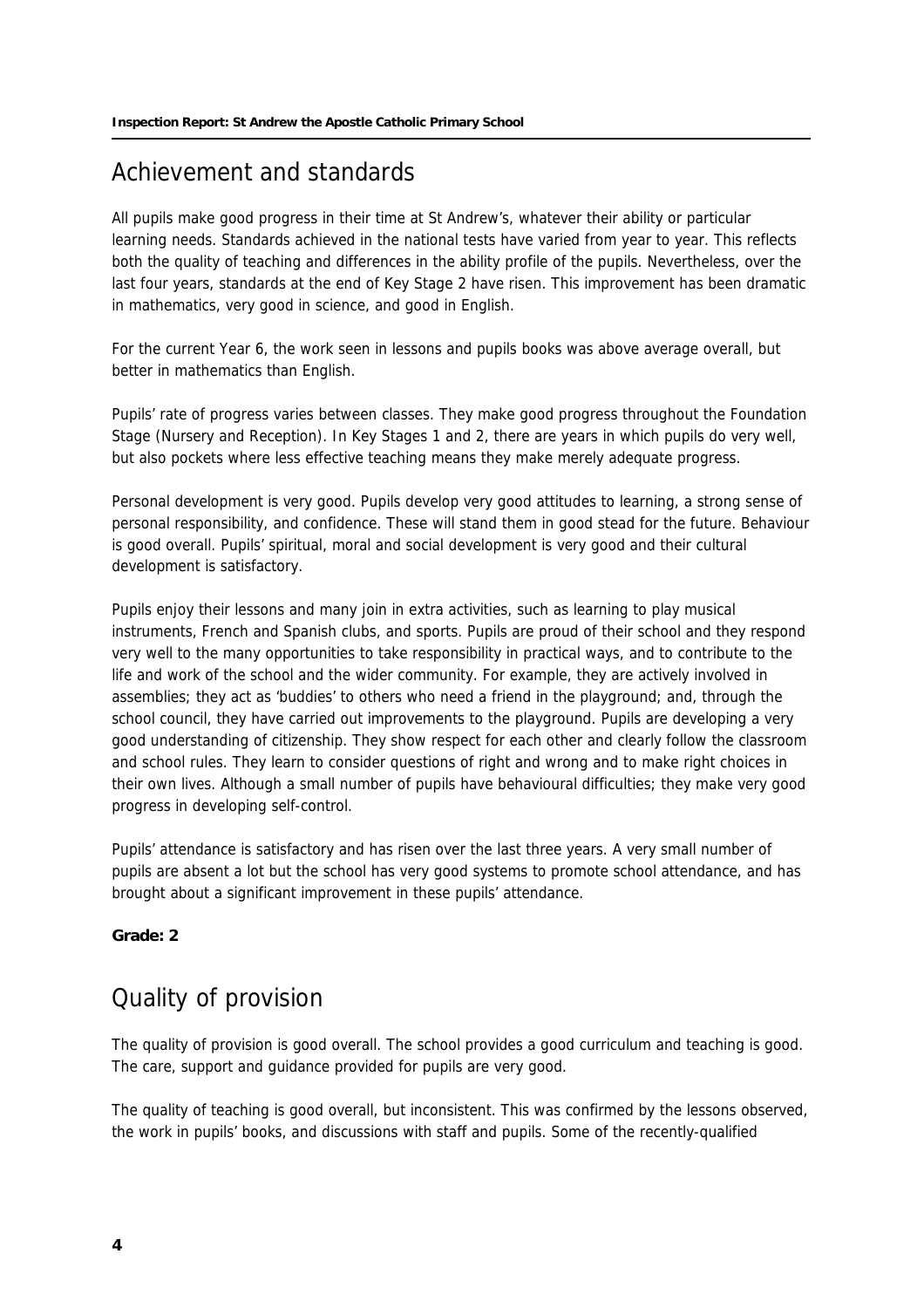## Achievement and standards

All pupils make good progress in their time at St Andrew's, whatever their ability or particular learning needs. Standards achieved in the national tests have varied from year to year. This reflects both the quality of teaching and differences in the ability profile of the pupils. Nevertheless, over the last four years, standards at the end of Key Stage 2 have risen. This improvement has been dramatic in mathematics, very good in science, and good in English.

For the current Year 6, the work seen in lessons and pupils books was above average overall, but better in mathematics than English.

Pupils' rate of progress varies between classes. They make good progress throughout the Foundation Stage (Nursery and Reception). In Key Stages 1 and 2, there are years in which pupils do very well, but also pockets where less effective teaching means they make merely adequate progress.

Personal development is very good. Pupils develop very good attitudes to learning, a strong sense of personal responsibility, and confidence. These will stand them in good stead for the future. Behaviour is good overall. Pupils' spiritual, moral and social development is very good and their cultural development is satisfactory.

Pupils enjoy their lessons and many join in extra activities, such as learning to play musical instruments, French and Spanish clubs, and sports. Pupils are proud of their school and they respond very well to the many opportunities to take responsibility in practical ways, and to contribute to the life and work of the school and the wider community. For example, they are actively involved in assemblies; they act as 'buddies' to others who need a friend in the playground; and, through the school council, they have carried out improvements to the playground. Pupils are developing a very good understanding of citizenship. They show respect for each other and clearly follow the classroom and school rules. They learn to consider questions of right and wrong and to make right choices in their own lives. Although a small number of pupils have behavioural difficulties; they make very good progress in developing self-control.

Pupils' attendance is satisfactory and has risen over the last three years. A very small number of pupils are absent a lot but the school has very good systems to promote school attendance, and has brought about a significant improvement in these pupils' attendance.

#### **Grade: 2**

### Quality of provision

The quality of provision is good overall. The school provides a good curriculum and teaching is good. The care, support and guidance provided for pupils are very good.

The quality of teaching is good overall, but inconsistent. This was confirmed by the lessons observed, the work in pupils' books, and discussions with staff and pupils. Some of the recently-qualified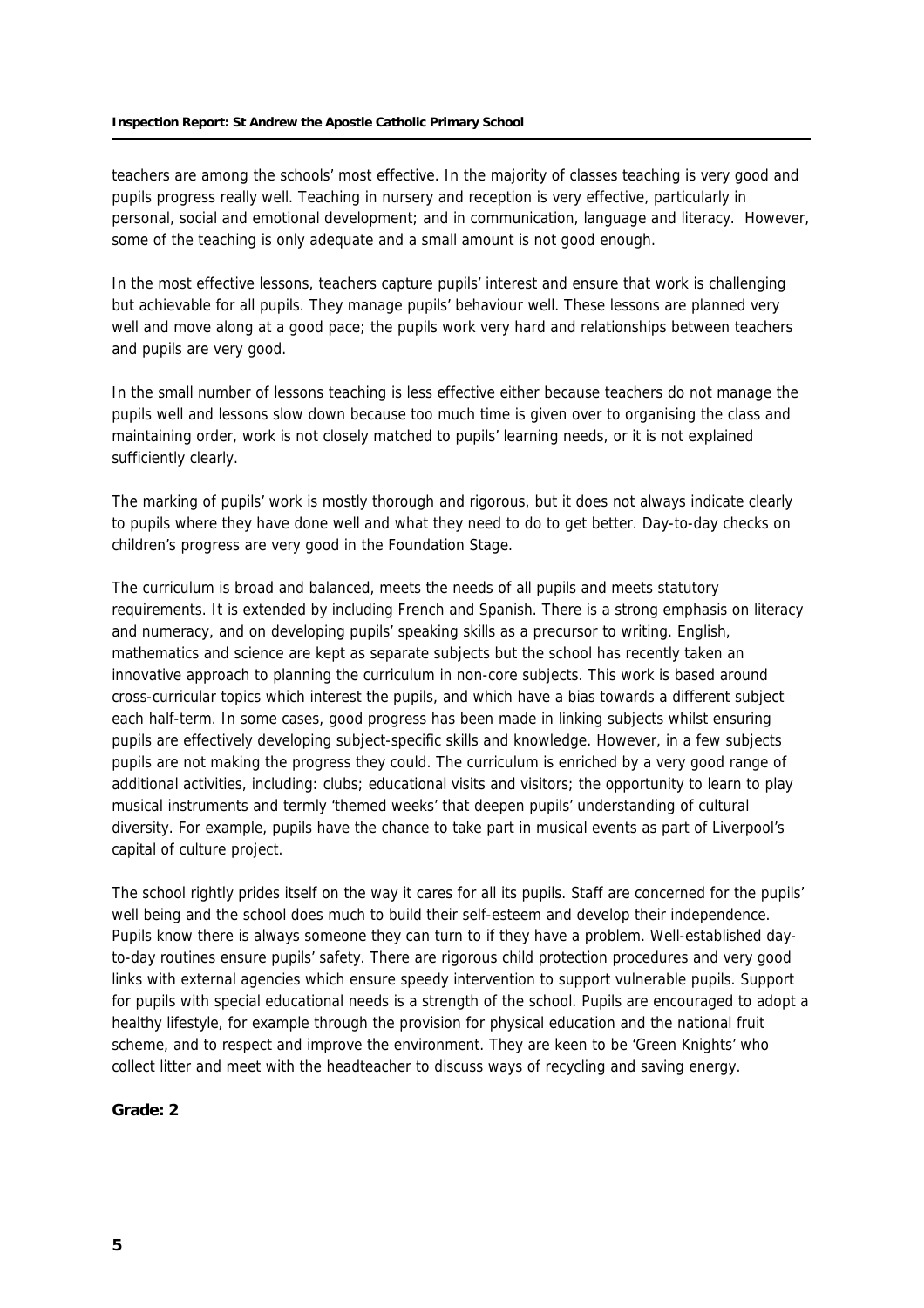#### **Inspection Report: St Andrew the Apostle Catholic Primary School**

teachers are among the schools' most effective. In the majority of classes teaching is very good and pupils progress really well. Teaching in nursery and reception is very effective, particularly in personal, social and emotional development; and in communication, language and literacy. However, some of the teaching is only adequate and a small amount is not good enough.

In the most effective lessons, teachers capture pupils' interest and ensure that work is challenging but achievable for all pupils. They manage pupils' behaviour well. These lessons are planned very well and move along at a good pace; the pupils work very hard and relationships between teachers and pupils are very good.

In the small number of lessons teaching is less effective either because teachers do not manage the pupils well and lessons slow down because too much time is given over to organising the class and maintaining order, work is not closely matched to pupils' learning needs, or it is not explained sufficiently clearly.

The marking of pupils' work is mostly thorough and rigorous, but it does not always indicate clearly to pupils where they have done well and what they need to do to get better. Day-to-day checks on children's progress are very good in the Foundation Stage.

The curriculum is broad and balanced, meets the needs of all pupils and meets statutory requirements. It is extended by including French and Spanish. There is a strong emphasis on literacy and numeracy, and on developing pupils' speaking skills as a precursor to writing. English, mathematics and science are kept as separate subjects but the school has recently taken an innovative approach to planning the curriculum in non-core subjects. This work is based around cross-curricular topics which interest the pupils, and which have a bias towards a different subject each half-term. In some cases, good progress has been made in linking subjects whilst ensuring pupils are effectively developing subject-specific skills and knowledge. However, in a few subjects pupils are not making the progress they could. The curriculum is enriched by a very good range of additional activities, including: clubs; educational visits and visitors; the opportunity to learn to play musical instruments and termly 'themed weeks' that deepen pupils' understanding of cultural diversity. For example, pupils have the chance to take part in musical events as part of Liverpool's capital of culture project.

The school rightly prides itself on the way it cares for all its pupils. Staff are concerned for the pupils' well being and the school does much to build their self-esteem and develop their independence. Pupils know there is always someone they can turn to if they have a problem. Well-established dayto-day routines ensure pupils' safety. There are rigorous child protection procedures and very good links with external agencies which ensure speedy intervention to support vulnerable pupils. Support for pupils with special educational needs is a strength of the school. Pupils are encouraged to adopt a healthy lifestyle, for example through the provision for physical education and the national fruit scheme, and to respect and improve the environment. They are keen to be 'Green Knights' who collect litter and meet with the headteacher to discuss ways of recycling and saving energy.

#### **Grade: 2**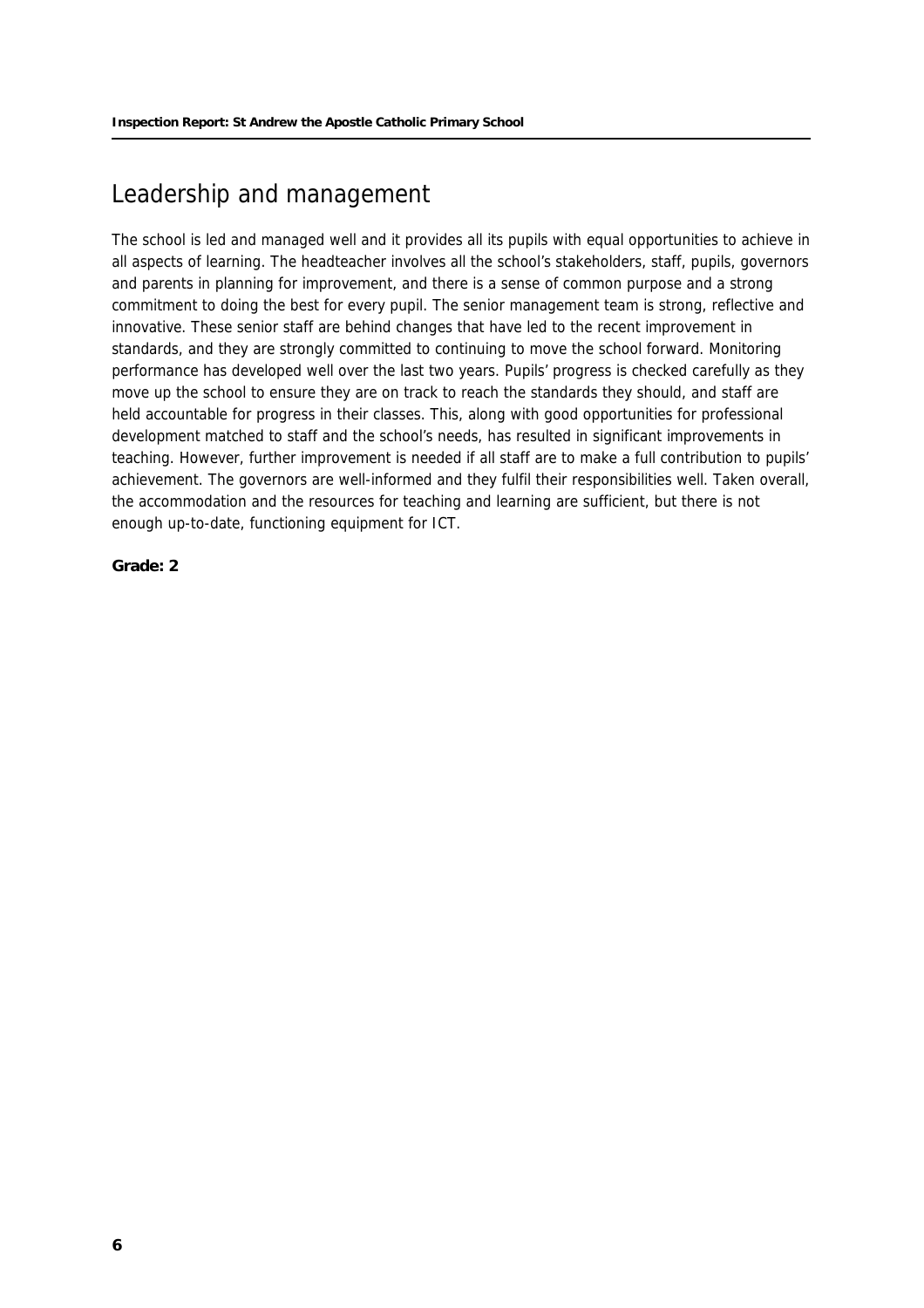## Leadership and management

The school is led and managed well and it provides all its pupils with equal opportunities to achieve in all aspects of learning. The headteacher involves all the school's stakeholders, staff, pupils, governors and parents in planning for improvement, and there is a sense of common purpose and a strong commitment to doing the best for every pupil. The senior management team is strong, reflective and innovative. These senior staff are behind changes that have led to the recent improvement in standards, and they are strongly committed to continuing to move the school forward. Monitoring performance has developed well over the last two years. Pupils' progress is checked carefully as they move up the school to ensure they are on track to reach the standards they should, and staff are held accountable for progress in their classes. This, along with good opportunities for professional development matched to staff and the school's needs, has resulted in significant improvements in teaching. However, further improvement is needed if all staff are to make a full contribution to pupils' achievement. The governors are well-informed and they fulfil their responsibilities well. Taken overall, the accommodation and the resources for teaching and learning are sufficient, but there is not enough up-to-date, functioning equipment for ICT.

**Grade: 2**